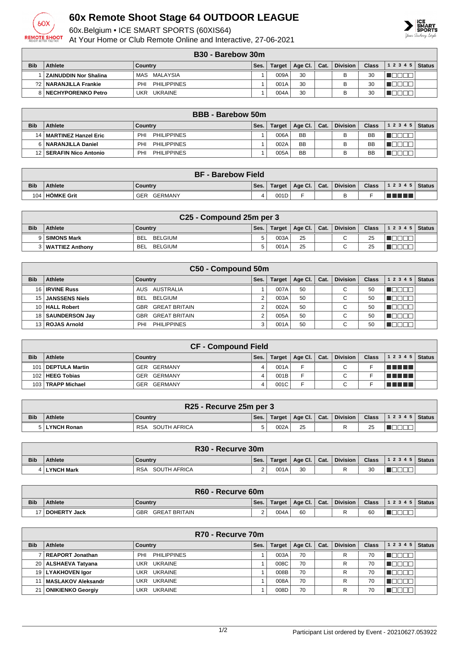

## **60x Remote Shoot Stage 64 OUTDOOR LEAGUE**

60x.Belgium • ICE SMART SPORTS (60XIS64)

At Your Home or Club Remote Online and Interactive, 27-06-2021



## **B30 - Barebow 30m**

|            | <b>UUU - DAIGUUW JUIII</b> |                           |      |               |         |      |                 |       |       |        |  |
|------------|----------------------------|---------------------------|------|---------------|---------|------|-----------------|-------|-------|--------|--|
| <b>Bib</b> | Athlete                    | Country                   | Ses. | <b>Target</b> | Age Cl. | Cat. | <b>Division</b> | Class | 12345 | Status |  |
|            | ZAINUDDIN Nor Shalina      | MAS MALAYSIA              |      | 009A          | 30      |      | В               | 30    |       |        |  |
|            | ?2   NARANJILLA Frankie    | <b>PHILIPPINES</b><br>PHI |      | 001A          | 30      |      |                 | 30    |       |        |  |
|            | 8   NECHYPORENKO Petro     | <b>UKRAINE</b><br>UKR     |      | 004A          | 30      |      |                 | 30    |       |        |  |

| <b>BBB</b> - Barebow 50m |                           |                           |      |        |                      |  |                 |              |                |  |
|--------------------------|---------------------------|---------------------------|------|--------|----------------------|--|-----------------|--------------|----------------|--|
| <b>Bib</b>               | Athlete                   | Countrv                   | Ses. | Target | Age Cl. $\vert$ Cat. |  | <b>Division</b> | <b>Class</b> | $12345$ Status |  |
|                          | 14   MARTINEZ Hanzel Eric | <b>PHILIPPINES</b><br>PHI |      | 006A   | <b>BB</b>            |  |                 | <b>BB</b>    |                |  |
|                          | 6   NARANJILLA Daniel     | PHI<br><b>PHILIPPINES</b> |      | 002A   | <b>BB</b>            |  |                 | BB           |                |  |
|                          | SERAFIN Nico Antonio      | <b>PHILIPPINES</b><br>PHI |      | 005A   | <b>BB</b>            |  |                 | <b>BB</b>    |                |  |

|            | <b>BF - Barebow Field</b> |                       |      |        |                      |  |                 |              |                  |  |
|------------|---------------------------|-----------------------|------|--------|----------------------|--|-----------------|--------------|------------------|--|
| <b>Bib</b> | <b>Athlete</b>            | Country               | Ses. | Target | Age Cl. $\vert$ Cat. |  | <b>Division</b> | <b>Class</b> | $ 12345 $ Status |  |
|            | 104 HÖMKE Grit            | GERMANY<br><b>GER</b> | 4    | 001D   |                      |  |                 |              | THE              |  |

|            | C <sub>25</sub> - Compound 25m per 3 |                       |      |        |                |  |          |              |                  |  |
|------------|--------------------------------------|-----------------------|------|--------|----------------|--|----------|--------------|------------------|--|
| <b>Bib</b> | <b>Athlete</b>                       | Country               | Ses. | Target | Age Cl.   Cat. |  | Division | <b>Class</b> | $ 12345 $ Status |  |
|            | 9 SIMONS Mark                        | BELGIUM<br><b>BEL</b> |      | 003A   | 25             |  | $\sim$   | 25           |                  |  |
|            | 3   WATTIEZ Anthony                  | BELGIUM<br><b>BEL</b> |      | 001A   | 25             |  | $\sim$   | 25           |                  |  |

|            | C50 - Compound 50m    |                                    |      |               |         |      |                 |              |           |               |  |
|------------|-----------------------|------------------------------------|------|---------------|---------|------|-----------------|--------------|-----------|---------------|--|
| <b>Bib</b> | Athlete               | Country                            | Ses. | <b>Target</b> | Age CI. | Cat. | <b>Division</b> | <b>Class</b> | 1 2 3 4 5 | <b>Status</b> |  |
|            | 16 <b>IRVINE Russ</b> | AUS AUSTRALIA                      |      | 007A          | 50      |      | $\sim$          | 50           |           |               |  |
|            | 15 JANSSENS Niels     | BELGIUM<br><b>BEL</b>              |      | 003A          | 50      |      | $\sim$          | 50           |           |               |  |
|            | 10   HALL Robert      | <b>GREAT BRITAIN</b><br><b>GBR</b> |      | 002A          | 50      |      | $\sim$<br>ັ     | 50           |           |               |  |
|            | 18   SAUNDERSON Jay   | <b>GREAT BRITAIN</b><br>GBR        |      | 005A          | 50      |      | $\sim$<br>ັ     | 50           |           |               |  |
|            | 13 ROJAS Arnold       | <b>PHILIPPINES</b><br>PHI          |      | 001A          | 50      |      | $\sim$          | 50           |           |               |  |

|                  | <b>CF - Compound Field</b> |                |      |               |                |  |                 |              |         |        |  |
|------------------|----------------------------|----------------|------|---------------|----------------|--|-----------------|--------------|---------|--------|--|
| <b>Bib</b>       | <b>Athlete</b>             | Country        | Ses. | <b>Target</b> | Age Cl.   Cat. |  | <b>Division</b> | <b>Class</b> | 12345   | Status |  |
|                  | 101   DEPTULA Martin       | GER GERMANY    | 4    | 001A          | E              |  | С               |              | TELELL  |        |  |
|                  | 102   HEEG Tobias          | GER GERMANY    |      | 001B          | Е              |  | ◠               |              | TELELL  |        |  |
| 103 <sub>1</sub> | <b>TRAPP Michael</b>       | GERMANY<br>GER | 4    | 001C          | -              |  | $\sim$          |              | u milit |        |  |

|            | R25 - Recurve 25m per 3 |                            |      |      |    |  |                                    |    |                                        |  |
|------------|-------------------------|----------------------------|------|------|----|--|------------------------------------|----|----------------------------------------|--|
| <b>Bib</b> | Athlete                 | Country                    | Ses. |      |    |  | Target   Age Cl.   Cat.   Division |    | Class $\vert$ 1 2 3 4 5 $\vert$ Status |  |
|            | 5   LYNCH Ronan         | SOUTH AFRICA<br><b>RSA</b> |      | 002A | 25 |  |                                    | 25 |                                        |  |

|            | R <sub>30</sub> - Recurve 30m |                            |      |      |                         |  |          |              |                  |  |
|------------|-------------------------------|----------------------------|------|------|-------------------------|--|----------|--------------|------------------|--|
| <b>Bib</b> | <b>Athlete</b>                | Country                    | Ses. |      | Target   Age Cl.   Cat. |  | Division | <b>Class</b> | $ 12345 $ Status |  |
|            | 4   LYNCH Mark                | SOUTH AFRICA<br><b>RSA</b> | ົ    | 001A | 30                      |  | R        | 30           |                  |  |

|            | R60 - Recurve 60m |                      |      |        |                |  |          |              |                  |  |
|------------|-------------------|----------------------|------|--------|----------------|--|----------|--------------|------------------|--|
| <b>Bib</b> | <b>Athlete</b>    | Country              | Ses. | Target | Age Cl.   Cat. |  | Division | <b>Class</b> | $ 12345 $ Status |  |
|            | DOHERTY Jack      | GBR<br>GREAT BRITAIN |      | 004A   | 60             |  | R        | 60           |                  |  |

|            | R70 - Recurve 70m       |                              |      |        |                 |      |                 |              |           |               |  |
|------------|-------------------------|------------------------------|------|--------|-----------------|------|-----------------|--------------|-----------|---------------|--|
| <b>Bib</b> | Athlete                 | Country                      | Ses. | Target | Age Cl. $\vert$ | Cat. | <b>Division</b> | <b>Class</b> | 1 2 3 4 5 | <b>Status</b> |  |
|            | REAPORT Jonathan        | PHILIPPINES<br>PHI           |      | 003A   | 70              |      | R               | 70           |           |               |  |
|            | 20   ALSHAEVA Tatyana   | <b>UKRAINE</b><br>UKR        |      | 008C   | 70              |      | R               | 70           |           |               |  |
|            | 19   LYAKHOVEN Igor     | <b>UKRAINE</b><br>UKR        |      | 008B   | 70              |      | R               | 70           |           |               |  |
|            | 11   MASLAKOV Aleksandr | <b>UKRAINE</b><br><b>UKR</b> |      | 008A   | 70              |      | R               | 70           |           |               |  |
|            | 21   ONIKIENKO Georgiy  | <b>UKRAINE</b><br>UKR        |      | 008D   | 70              |      | R               | 70           |           |               |  |